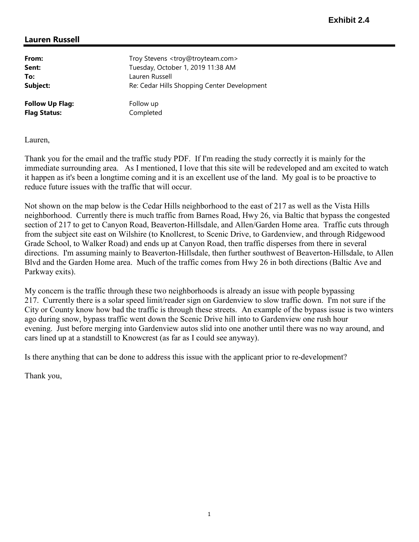## Lauren Russell

| From:                  | Troy Stevens <troy@troyteam.com></troy@troyteam.com> |
|------------------------|------------------------------------------------------|
| Sent:                  | Tuesday, October 1, 2019 11:38 AM                    |
| To:                    | Lauren Russell                                       |
| Subject:               | Re: Cedar Hills Shopping Center Development          |
| <b>Follow Up Flag:</b> | Follow up                                            |
| <b>Flag Status:</b>    | Completed                                            |

Lauren,

Thank you for the email and the traffic study PDF. If I'm reading the study correctly it is mainly for the immediate surrounding area. As I mentioned, I love that this site will be redeveloped and am excited to watch it happen as it's been a longtime coming and it is an excellent use of the land. My goal is to be proactive to reduce future issues with the traffic that will occur.

Not shown on the map below is the Cedar Hills neighborhood to the east of 217 as well as the Vista Hills neighborhood. Currently there is much traffic from Barnes Road, Hwy 26, via Baltic that bypass the congested section of 217 to get to Canyon Road, Beaverton-Hillsdale, and Allen/Garden Home area. Traffic cuts through from the subject site east on Wilshire (to Knollcrest, to Scenic Drive, to Gardenview, and through Ridgewood Grade School, to Walker Road) and ends up at Canyon Road, then traffic disperses from there in several directions. I'm assuming mainly to Beaverton-Hillsdale, then further southwest of Beaverton-Hillsdale, to Allen Blvd and the Garden Home area. Much of the traffic comes from Hwy 26 in both directions (Baltic Ave and Parkway exits).

My concern is the traffic through these two neighborhoods is already an issue with people bypassing 217. Currently there is a solar speed limit/reader sign on Gardenview to slow traffic down. I'm not sure if the City or County know how bad the traffic is through these streets. An example of the bypass issue is two winters ago during snow, bypass traffic went down the Scenic Drive hill into to Gardenview one rush hour evening. Just before merging into Gardenview autos slid into one another until there was no way around, and cars lined up at a standstill to Knowcrest (as far as I could see anyway).

Is there anything that can be done to address this issue with the applicant prior to re-development?

Thank you,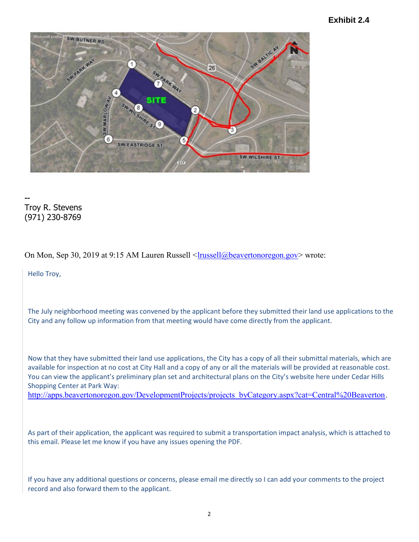## **Exhibit 2.4**



-- Troy R. Stevens (971) 230-8769

On Mon, Sep 30, 2019 at 9:15 AM Lauren Russell <latterstanding beaverton or egon.gov> wrote:

Hello Troy,

The July neighborhood meeting was convened by the applicant before they submitted their land use applications to the City and any follow up information from that meeting would have come directly from the applicant.

Now that they have submitted their land use applications, the City has a copy of all their submittal materials, which are available for inspection at no cost at City Hall and a copy of any or all the materials will be provided at reasonable cost. You can view the applicant's preliminary plan set and architectural plans on the City's website here under Cedar Hills Shopping Center at Park Way:

http://apps.beavertonoregon.gov/DevelopmentProjects/projects\_byCategory.aspx?cat=Central%20Beaverton.

As part of their application, the applicant was required to submit a transportation impact analysis, which is attached to this email. Please let me know if you have any issues opening the PDF.

If you have any additional questions or concerns, please email me directly so I can add your comments to the project record and also forward them to the applicant.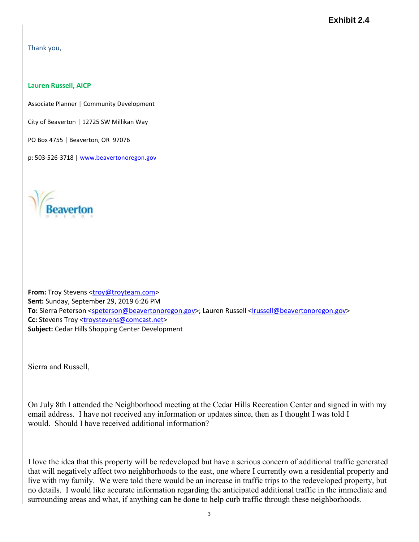Thank you,

## Lauren Russell, AICP

Associate Planner | Community Development

City of Beaverton | 12725 SW Millikan Way

PO Box 4755 | Beaverton, OR 97076

p: 503-526-3718 | www.beavertonoregon.gov



From: Troy Stevens <troy@troyteam.com> Sent: Sunday, September 29, 2019 6:26 PM To: Sierra Peterson <speterson@beavertonoregon.gov>; Lauren Russell <lrussell@beavertonoregon.gov> Cc: Stevens Troy <troystevens@comcast.net> Subject: Cedar Hills Shopping Center Development

Sierra and Russell,

On July 8th I attended the Neighborhood meeting at the Cedar Hills Recreation Center and signed in with my email address. I have not received any information or updates since, then as I thought I was told I would. Should I have received additional information?

I love the idea that this property will be redeveloped but have a serious concern of additional traffic generated that will negatively affect two neighborhoods to the east, one where I currently own a residential property and live with my family. We were told there would be an increase in traffic trips to the redeveloped property, but no details. I would like accurate information regarding the anticipated additional traffic in the immediate and surrounding areas and what, if anything can be done to help curb traffic through these neighborhoods.